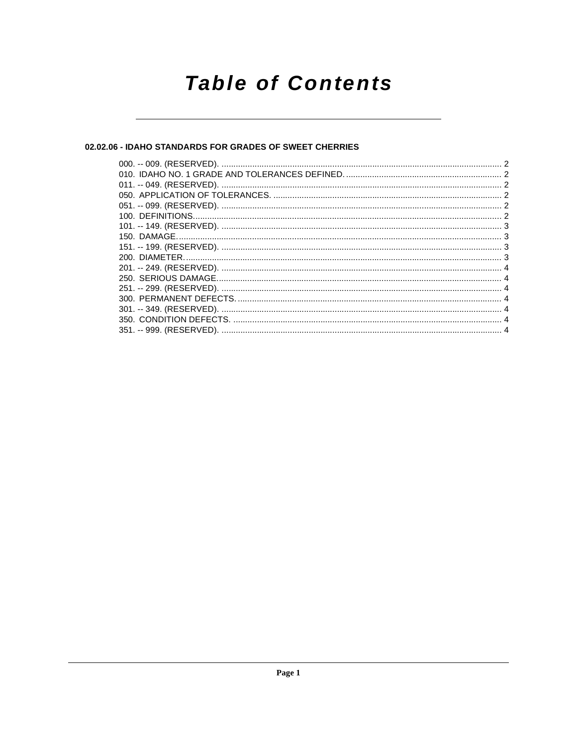# **Table of Contents**

# 02.02.06 - IDAHO STANDARDS FOR GRADES OF SWEET CHERRIES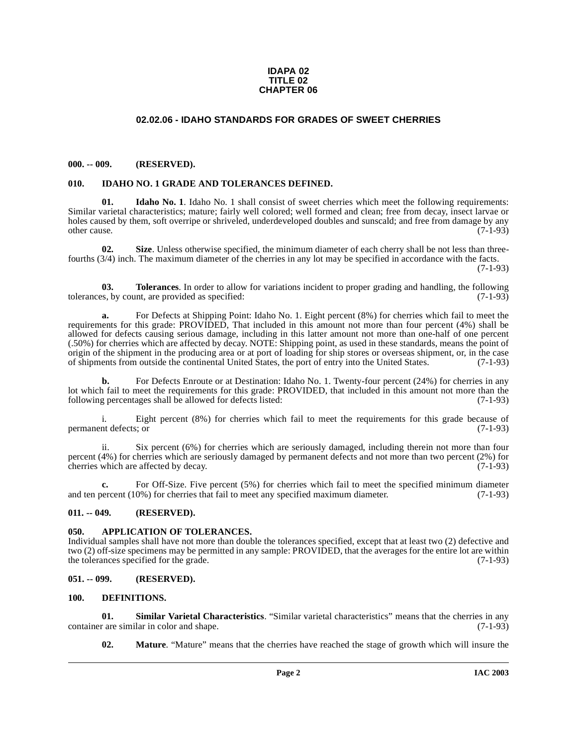#### **IDAPA 02 TITLE 02 CHAPTER 06**

## **02.02.06 - IDAHO STANDARDS FOR GRADES OF SWEET CHERRIES**

#### <span id="page-1-1"></span><span id="page-1-0"></span>**000. -- 009. (RESERVED).**

#### <span id="page-1-9"></span><span id="page-1-2"></span>**010. IDAHO NO. 1 GRADE AND TOLERANCES DEFINED.**

<span id="page-1-10"></span>**01. Idaho No. 1**. Idaho No. 1 shall consist of sweet cherries which meet the following requirements: Similar varietal characteristics; mature; fairly well colored; well formed and clean; free from decay, insect larvae or holes caused by them, soft overripe or shriveled, underdeveloped doubles and sunscald; and free from damage by any other cause. (7-1-93)

<span id="page-1-13"></span>**02. Size**. Unless otherwise specified, the minimum diameter of each cherry shall be not less than threefourths (3/4) inch. The maximum diameter of the cherries in any lot may be specified in accordance with the facts.

(7-1-93)

<span id="page-1-14"></span>**03. Tolerances**. In order to allow for variations incident to proper grading and handling, the following ss, by count, are provided as specified: (7-1-93) tolerances, by count, are provided as specified:

For Defects at Shipping Point: Idaho No. 1. Eight percent (8%) for cherries which fail to meet the requirements for this grade: PROVIDED, That included in this amount not more than four percent (4%) shall be allowed for defects causing serious damage, including in this latter amount not more than one-half of one percent (.50%) for cherries which are affected by decay. NOTE: Shipping point, as used in these standards, means the point of origin of the shipment in the producing area or at port of loading for ship stores or overseas shipment, or, in the case of shipments from outside the continental United States, the port of entry into the United States. (7-1-93)

**b.** For Defects Enroute or at Destination: Idaho No. 1. Twenty-four percent (24%) for cherries in any lot which fail to meet the requirements for this grade: PROVIDED, that included in this amount not more than the following percentages shall be allowed for defects listed: (7-1-93) following percentages shall be allowed for defects listed:

i. Eight percent (8%) for cherries which fail to meet the requirements for this grade because of  $(7-1-93)$ permanent defects; or

ii. Six percent (6%) for cherries which are seriously damaged, including therein not more than four percent (4%) for cherries which are seriously damaged by permanent defects and not more than two percent (2%) for cherries which are affected by decay. (7-1-93) cherries which are affected by decay.

**c.** For Off-Size. Five percent (5%) for cherries which fail to meet the specified minimum diameter and ten percent (10%) for cherries that fail to meet any specified maximum diameter. (7-1-93)

#### <span id="page-1-3"></span>**011. -- 049. (RESERVED).**

#### <span id="page-1-7"></span><span id="page-1-4"></span>**050. APPLICATION OF TOLERANCES.**

Individual samples shall have not more than double the tolerances specified, except that at least two (2) defective and two (2) off-size specimens may be permitted in any sample: PROVIDED, that the averages for the entire lot are within the tolerances specified for the grade. (7-1-93) the tolerances specified for the grade.

#### <span id="page-1-5"></span>**051. -- 099. (RESERVED).**

#### <span id="page-1-8"></span><span id="page-1-6"></span>**100. DEFINITIONS.**

**01. Similar Varietal Characteristics**. "Similar varietal characteristics" means that the cherries in any r are similar in color and shape. (7-1-93) container are similar in color and shape.

<span id="page-1-12"></span><span id="page-1-11"></span>**02. Mature**. "Mature" means that the cherries have reached the stage of growth which will insure the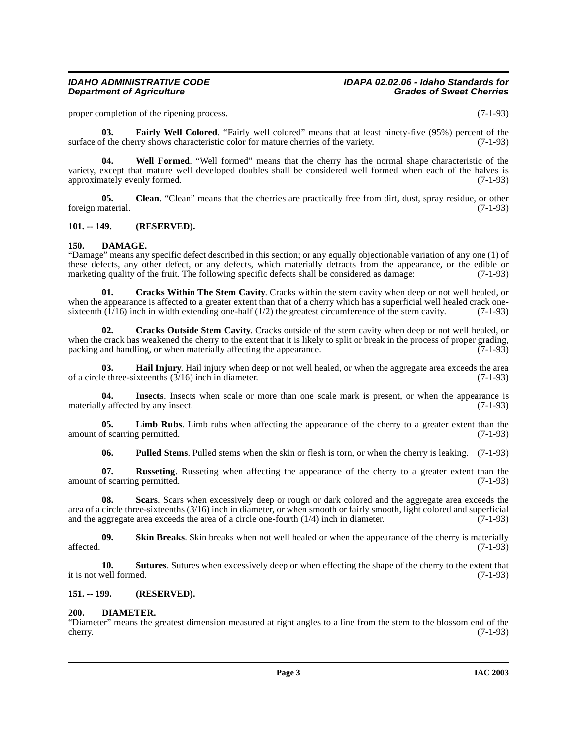# **Department of Agriculture**

proper completion of the ripening process. (7-1-93)

<span id="page-2-9"></span>**03. Fairly Well Colored**. "Fairly well colored" means that at least ninety-five (95%) percent of the surface of the cherry shows characteristic color for mature cherries of the variety. (7-1-93)

<span id="page-2-18"></span>**04. Well Formed**. "Well formed" means that the cherry has the normal shape characteristic of the variety, except that mature well developed doubles shall be considered well formed when each of the halves is approximately evenly formed. (7-1-93) approximately evenly formed.

<span id="page-2-4"></span>**05.** Clean. "Clean" means that the cherries are practically free from dirt, dust, spray residue, or other foreign material. (7-1-93)

#### <span id="page-2-0"></span>**101. -- 149. (RESERVED).**

#### <span id="page-2-7"></span><span id="page-2-1"></span>**150. DAMAGE.**

"Damage" means any specific defect described in this section; or any equally objectionable variation of any one (1) of these defects, any other defect, or any defects, which materially detracts from the appearance, or the edible or marketing quality of the fruit. The following specific defects shall be considered as damage: (7-1-93) marketing quality of the fruit. The following specific defects shall be considered as damage:

<span id="page-2-6"></span>**01. Cracks Within The Stem Cavity**. Cracks within the stem cavity when deep or not well healed, or when the appearance is affected to a greater extent than that of a cherry which has a superficial well healed crack one-<br>sixteenth  $(1/16)$  inch in width extending one-half  $(1/2)$  the greatest circumference of the stem c sixteenth  $(1/16)$  inch in width extending one-half  $(1/2)$  the greatest circumference of the stem cavity.

<span id="page-2-5"></span>**02. Cracks Outside Stem Cavity**. Cracks outside of the stem cavity when deep or not well healed, or when the crack has weakened the cherry to the extent that it is likely to split or break in the process of proper grading, packing and handling, or when materially affecting the appearance. (7-1-93) packing and handling, or when materially affecting the appearance.

<span id="page-2-10"></span>**03. Hail Injury**. Hail injury when deep or not well healed, or when the aggregate area exceeds the area e three-sixteenths (3/16) inch in diameter. (7-1-93) of a circle three-sixteenths  $(3/16)$  inch in diameter.

<span id="page-2-11"></span>**04. Insects**. Insects when scale or more than one scale mark is present, or when the appearance is materially affected by any insect. (7-1-93)

**05.** Limb Rubs. Limb rubs when affecting the appearance of the cherry to a greater extent than the of scarring permitted. (7-1-93) amount of scarring permitted.

<span id="page-2-15"></span><span id="page-2-14"></span><span id="page-2-13"></span><span id="page-2-12"></span>**06. Pulled Stems**. Pulled stems when the skin or flesh is torn, or when the cherry is leaking. (7-1-93)

**07.** Russeting. Russeting when affecting the appearance of the cherry to a greater extent than the of scarring permitted. (7-1-93) amount of scarring permitted.

**08. Scars**. Scars when excessively deep or rough or dark colored and the aggregate area exceeds the area of a circle three-sixteenths (3/16) inch in diameter, or when smooth or fairly smooth, light colored and superficial and the aggregate area exceeds the area of a circle one-fourth  $(1/4)$  inch in diameter.  $(7-1-93)$ 

<span id="page-2-16"></span>**09.** Skin Breaks. Skin breaks when not well healed or when the appearance of the cherry is materially (7-1-93)  $\text{affected.}$  (7-1-93)

<span id="page-2-17"></span>**10. Sutures**. Sutures when excessively deep or when effecting the shape of the cherry to the extent that well formed. (7-1-93) it is not well formed.

#### <span id="page-2-2"></span>**151. -- 199. (RESERVED).**

#### <span id="page-2-8"></span><span id="page-2-3"></span>**200. DIAMETER.**

"Diameter" means the greatest dimension measured at right angles to a line from the stem to the blossom end of the  $(7-1-93)$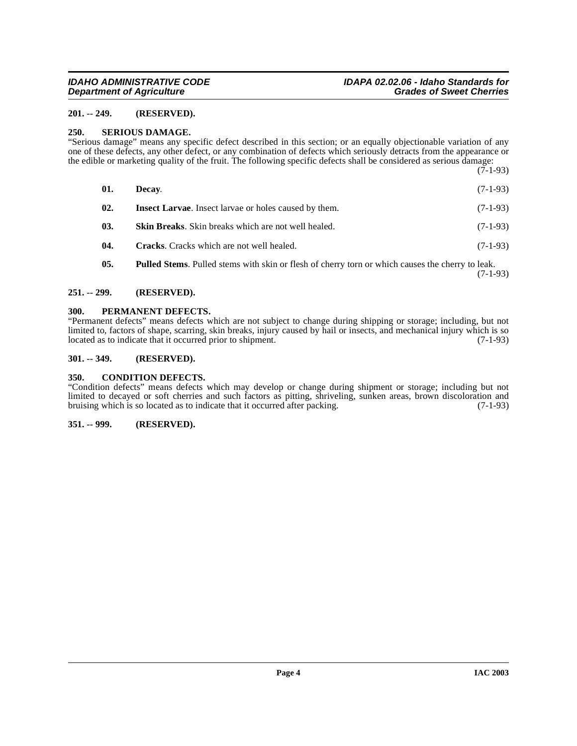#### <span id="page-3-0"></span>**201. -- 249. (RESERVED).**

#### <span id="page-3-9"></span><span id="page-3-1"></span>**250. SERIOUS DAMAGE.**

"Serious damage" means any specific defect described in this section; or an equally objectionable variation of any one of these defects, any other defect, or any combination of defects which seriously detracts from the appearance or the edible or marketing quality of the fruit. The following specific defects shall be considered as serious damage:  $(7-1-93)$ 

| 01. | Decay.                                                       | $(7-1-93)$ |
|-----|--------------------------------------------------------------|------------|
|     |                                                              |            |
| 02. | <b>Insect Larvae.</b> Insect larvae or holes caused by them. | $(7-1-93)$ |
| 03. | <b>Skin Breaks.</b> Skin breaks which are not well healed.   | $(7-1-93)$ |
| 04. | <b>Cracks.</b> Cracks which are not well healed.             | $(7-1-93)$ |
|     |                                                              |            |

# **05. Pulled Stems**. Pulled stems with skin or flesh of cherry torn or which causes the cherry to leak. (7-1-93)

#### <span id="page-3-2"></span>**251. -- 299. (RESERVED).**

#### <span id="page-3-8"></span><span id="page-3-3"></span>**300. PERMANENT DEFECTS.**

"Permanent defects" means defects which are not subject to change during shipping or storage; including, but not limited to, factors of shape, scarring, skin breaks, injury caused by hail or insects, and mechanical injury which is so located as to indicate that it occurred prior to shipment. (7-1-93)

# <span id="page-3-4"></span>**301. -- 349. (RESERVED).**

#### <span id="page-3-7"></span><span id="page-3-5"></span>**350. CONDITION DEFECTS.**

"Condition defects" means defects which may develop or change during shipment or storage; including but not limited to decayed or soft cherries and such factors as pitting, shriveling, sunken areas, brown discoloration and bruising which is so located as to indicate that it occurred after packing. (7-1-93) bruising which is so located as to indicate that it occurred after packing.

### <span id="page-3-6"></span>**351. -- 999. (RESERVED).**